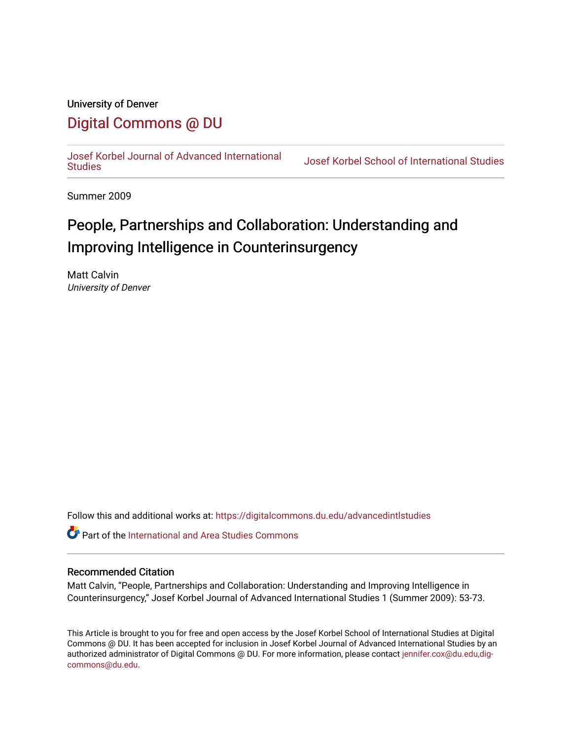## University of Denver

# [Digital Commons @ DU](https://digitalcommons.du.edu/)

[Josef Korbel Journal of Advanced International](https://digitalcommons.du.edu/advancedintlstudies) 

Josef Korbel School of International Studies

Summer 2009

# People, Partnerships and Collaboration: Understanding and Improving Intelligence in Counterinsurgency

Matt Calvin University of Denver

Follow this and additional works at: [https://digitalcommons.du.edu/advancedintlstudies](https://digitalcommons.du.edu/advancedintlstudies?utm_source=digitalcommons.du.edu%2Fadvancedintlstudies%2F22&utm_medium=PDF&utm_campaign=PDFCoverPages)

Part of the [International and Area Studies Commons](http://network.bepress.com/hgg/discipline/360?utm_source=digitalcommons.du.edu%2Fadvancedintlstudies%2F22&utm_medium=PDF&utm_campaign=PDFCoverPages) 

## Recommended Citation

Matt Calvin, "People, Partnerships and Collaboration: Understanding and Improving Intelligence in Counterinsurgency," Josef Korbel Journal of Advanced International Studies 1 (Summer 2009): 53-73.

This Article is brought to you for free and open access by the Josef Korbel School of International Studies at Digital Commons @ DU. It has been accepted for inclusion in Josef Korbel Journal of Advanced International Studies by an authorized administrator of Digital Commons @ DU. For more information, please contact [jennifer.cox@du.edu,dig](mailto:jennifer.cox@du.edu,dig-commons@du.edu)[commons@du.edu.](mailto:jennifer.cox@du.edu,dig-commons@du.edu)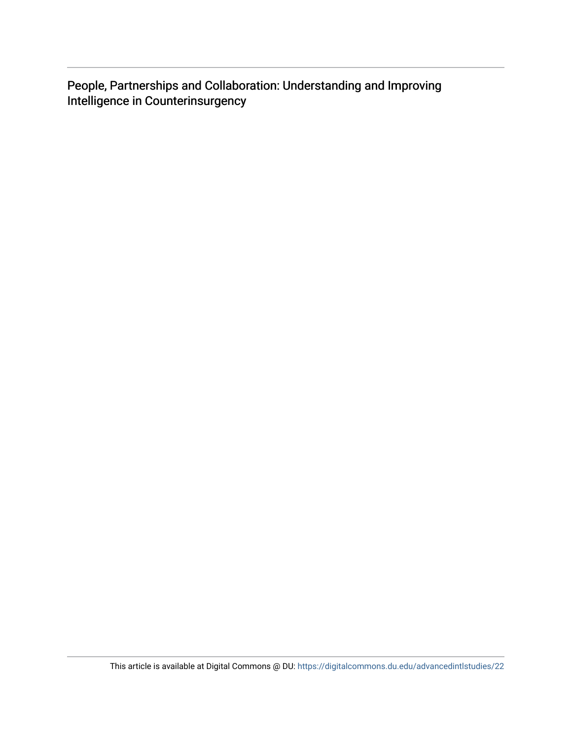People, Partnerships and Collaboration: Understanding and Improving Intelligence in Counterinsurgency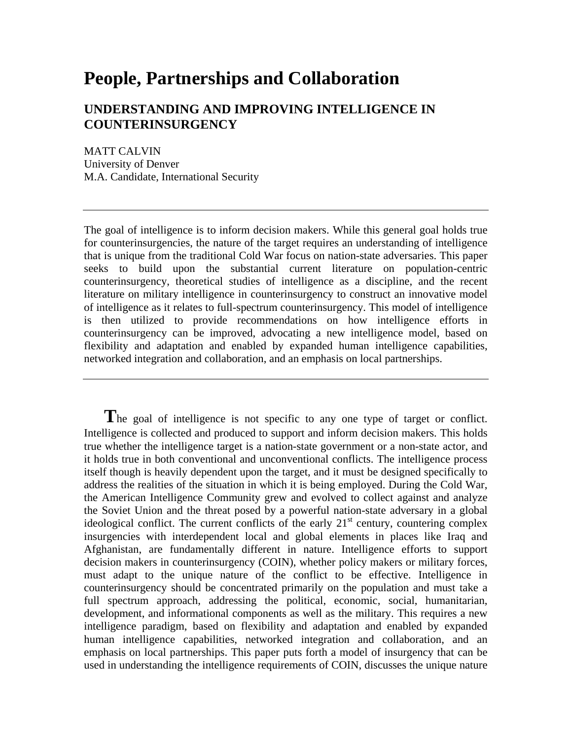# **People, Partnerships and Collaboration**

# **UNDERSTANDING AND IMPROVING INTELLIGENCE IN COUNTERINSURGENCY**

MATT CALVIN University of Denver M.A. Candidate, International Security

The goal of intelligence is to inform decision makers. While this general goal holds true for counterinsurgencies, the nature of the target requires an understanding of intelligence that is unique from the traditional Cold War focus on nation-state adversaries. This paper seeks to build upon the substantial current literature on population-centric counterinsurgency, theoretical studies of intelligence as a discipline, and the recent literature on military intelligence in counterinsurgency to construct an innovative model of intelligence as it relates to full-spectrum counterinsurgency. This model of intelligence is then utilized to provide recommendations on how intelligence efforts in counterinsurgency can be improved, advocating a new intelligence model, based on flexibility and adaptation and enabled by expanded human intelligence capabilities, networked integration and collaboration, and an emphasis on local partnerships.

The goal of intelligence is not specific to any one type of target or conflict. Intelligence is collected and produced to support and inform decision makers. This holds true whether the intelligence target is a nation-state government or a non-state actor, and it holds true in both conventional and unconventional conflicts. The intelligence process itself though is heavily dependent upon the target, and it must be designed specifically to address the realities of the situation in which it is being employed. During the Cold War, the American Intelligence Community grew and evolved to collect against and analyze the Soviet Union and the threat posed by a powerful nation-state adversary in a global ideological conflict. The current conflicts of the early  $21<sup>st</sup>$  century, countering complex insurgencies with interdependent local and global elements in places like Iraq and Afghanistan, are fundamentally different in nature. Intelligence efforts to support decision makers in counterinsurgency (COIN), whether policy makers or military forces, must adapt to the unique nature of the conflict to be effective. Intelligence in counterinsurgency should be concentrated primarily on the population and must take a full spectrum approach, addressing the political, economic, social, humanitarian, development, and informational components as well as the military. This requires a new intelligence paradigm, based on flexibility and adaptation and enabled by expanded human intelligence capabilities, networked integration and collaboration, and an emphasis on local partnerships. This paper puts forth a model of insurgency that can be used in understanding the intelligence requirements of COIN, discusses the unique nature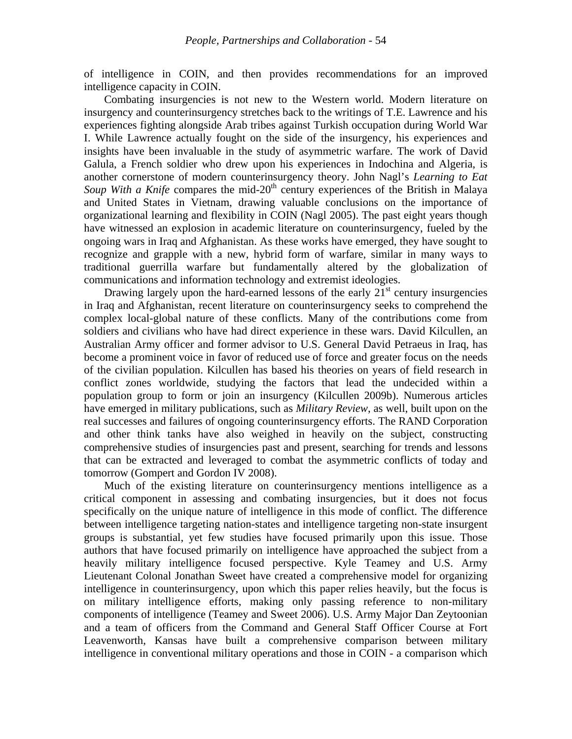of intelligence in COIN, and then provides recommendations for an improved intelligence capacity in COIN.

Combating insurgencies is not new to the Western world. Modern literature on insurgency and counterinsurgency stretches back to the writings of T.E. Lawrence and his experiences fighting alongside Arab tribes against Turkish occupation during World War I. While Lawrence actually fought on the side of the insurgency, his experiences and insights have been invaluable in the study of asymmetric warfare. The work of David Galula, a French soldier who drew upon his experiences in Indochina and Algeria, is another cornerstone of modern counterinsurgency theory. John Nagl's *Learning to Eat Soup With a Knife* compares the mid-20<sup>th</sup> century experiences of the British in Malaya and United States in Vietnam, drawing valuable conclusions on the importance of organizational learning and flexibility in COIN (Nagl 2005). The past eight years though have witnessed an explosion in academic literature on counterinsurgency, fueled by the ongoing wars in Iraq and Afghanistan. As these works have emerged, they have sought to recognize and grapple with a new, hybrid form of warfare, similar in many ways to traditional guerrilla warfare but fundamentally altered by the globalization of communications and information technology and extremist ideologies.

Drawing largely upon the hard-earned lessons of the early  $21<sup>st</sup>$  century insurgencies in Iraq and Afghanistan, recent literature on counterinsurgency seeks to comprehend the complex local-global nature of these conflicts. Many of the contributions come from soldiers and civilians who have had direct experience in these wars. David Kilcullen, an Australian Army officer and former advisor to U.S. General David Petraeus in Iraq, has become a prominent voice in favor of reduced use of force and greater focus on the needs of the civilian population. Kilcullen has based his theories on years of field research in conflict zones worldwide, studying the factors that lead the undecided within a population group to form or join an insurgency (Kilcullen 2009b). Numerous articles have emerged in military publications, such as *Military Review*, as well, built upon on the real successes and failures of ongoing counterinsurgency efforts. The RAND Corporation and other think tanks have also weighed in heavily on the subject, constructing comprehensive studies of insurgencies past and present, searching for trends and lessons that can be extracted and leveraged to combat the asymmetric conflicts of today and tomorrow (Gompert and Gordon IV 2008).

Much of the existing literature on counterinsurgency mentions intelligence as a critical component in assessing and combating insurgencies, but it does not focus specifically on the unique nature of intelligence in this mode of conflict. The difference between intelligence targeting nation-states and intelligence targeting non-state insurgent groups is substantial, yet few studies have focused primarily upon this issue. Those authors that have focused primarily on intelligence have approached the subject from a heavily military intelligence focused perspective. Kyle Teamey and U.S. Army Lieutenant Colonal Jonathan Sweet have created a comprehensive model for organizing intelligence in counterinsurgency, upon which this paper relies heavily, but the focus is on military intelligence efforts, making only passing reference to non-military components of intelligence (Teamey and Sweet 2006). U.S. Army Major Dan Zeytoonian and a team of officers from the Command and General Staff Officer Course at Fort Leavenworth, Kansas have built a comprehensive comparison between military intelligence in conventional military operations and those in COIN - a comparison which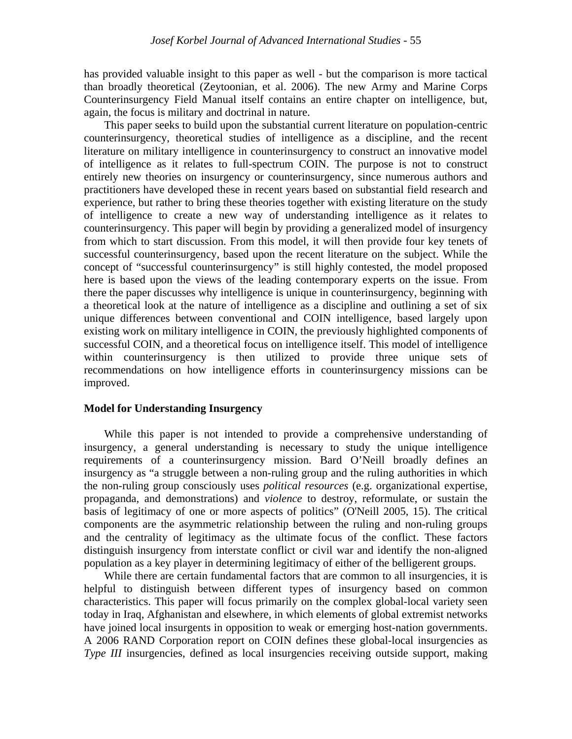has provided valuable insight to this paper as well - but the comparison is more tactical than broadly theoretical (Zeytoonian, et al. 2006). The new Army and Marine Corps Counterinsurgency Field Manual itself contains an entire chapter on intelligence, but, again, the focus is military and doctrinal in nature.

This paper seeks to build upon the substantial current literature on population-centric counterinsurgency, theoretical studies of intelligence as a discipline, and the recent literature on military intelligence in counterinsurgency to construct an innovative model of intelligence as it relates to full-spectrum COIN. The purpose is not to construct entirely new theories on insurgency or counterinsurgency, since numerous authors and practitioners have developed these in recent years based on substantial field research and experience, but rather to bring these theories together with existing literature on the study of intelligence to create a new way of understanding intelligence as it relates to counterinsurgency. This paper will begin by providing a generalized model of insurgency from which to start discussion. From this model, it will then provide four key tenets of successful counterinsurgency, based upon the recent literature on the subject. While the concept of "successful counterinsurgency" is still highly contested, the model proposed here is based upon the views of the leading contemporary experts on the issue. From there the paper discusses why intelligence is unique in counterinsurgency, beginning with a theoretical look at the nature of intelligence as a discipline and outlining a set of six unique differences between conventional and COIN intelligence, based largely upon existing work on military intelligence in COIN, the previously highlighted components of successful COIN, and a theoretical focus on intelligence itself. This model of intelligence within counterinsurgency is then utilized to provide three unique sets of recommendations on how intelligence efforts in counterinsurgency missions can be improved.

#### **Model for Understanding Insurgency**

While this paper is not intended to provide a comprehensive understanding of insurgency, a general understanding is necessary to study the unique intelligence requirements of a counterinsurgency mission. Bard O'Neill broadly defines an insurgency as "a struggle between a non-ruling group and the ruling authorities in which the non-ruling group consciously uses *political resources* (e.g. organizational expertise, propaganda, and demonstrations) and *violence* to destroy, reformulate, or sustain the basis of legitimacy of one or more aspects of politics" (O'Neill 2005, 15). The critical components are the asymmetric relationship between the ruling and non-ruling groups and the centrality of legitimacy as the ultimate focus of the conflict. These factors distinguish insurgency from interstate conflict or civil war and identify the non-aligned population as a key player in determining legitimacy of either of the belligerent groups.

While there are certain fundamental factors that are common to all insurgencies, it is helpful to distinguish between different types of insurgency based on common characteristics. This paper will focus primarily on the complex global-local variety seen today in Iraq, Afghanistan and elsewhere, in which elements of global extremist networks have joined local insurgents in opposition to weak or emerging host-nation governments. A 2006 RAND Corporation report on COIN defines these global-local insurgencies as *Type III* insurgencies, defined as local insurgencies receiving outside support, making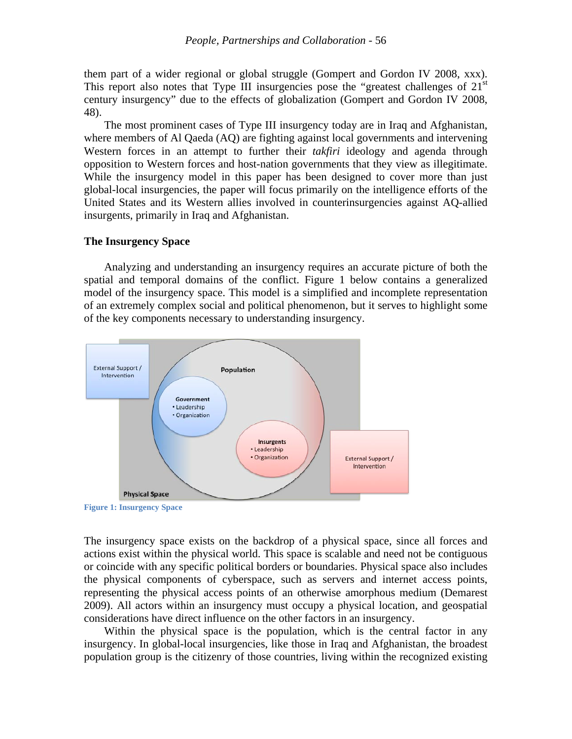them part of a wider regional or global struggle (Gompert and Gordon IV 2008, xxx). This report also notes that Type III insurgencies pose the "greatest challenges of  $21<sup>st</sup>$ century insurgency" due to the effects of globalization (Gompert and Gordon IV 2008, 48).

The most prominent cases of Type III insurgency today are in Iraq and Afghanistan, where members of Al Qaeda (AQ) are fighting against local governments and intervening Western forces in an attempt to further their *takfiri* ideology and agenda through opposition to Western forces and host-nation governments that they view as illegitimate. While the insurgency model in this paper has been designed to cover more than just global-local insurgencies, the paper will focus primarily on the intelligence efforts of the United States and its Western allies involved in counterinsurgencies against AQ-allied insurgents, primarily in Iraq and Afghanistan.

#### **The Insurgency Space**

Analyzing and understanding an insurgency requires an accurate picture of both the spatial and temporal domains of the conflict. Figure 1 below contains a generalized model of the insurgency space. This model is a simplified and incomplete representation of an extremely complex social and political phenomenon, but it serves to highlight some of the key components necessary to understanding insurgency.



**Figure 1: Insurgency Space**

The insurgency space exists on the backdrop of a physical space, since all forces and actions exist within the physical world. This space is scalable and need not be contiguous or coincide with any specific political borders or boundaries. Physical space also includes the physical components of cyberspace, such as servers and internet access points, representing the physical access points of an otherwise amorphous medium (Demarest 2009). All actors within an insurgency must occupy a physical location, and geospatial considerations have direct influence on the other factors in an insurgency.

Within the physical space is the population, which is the central factor in any insurgency. In global-local insurgencies, like those in Iraq and Afghanistan, the broadest population group is the citizenry of those countries, living within the recognized existing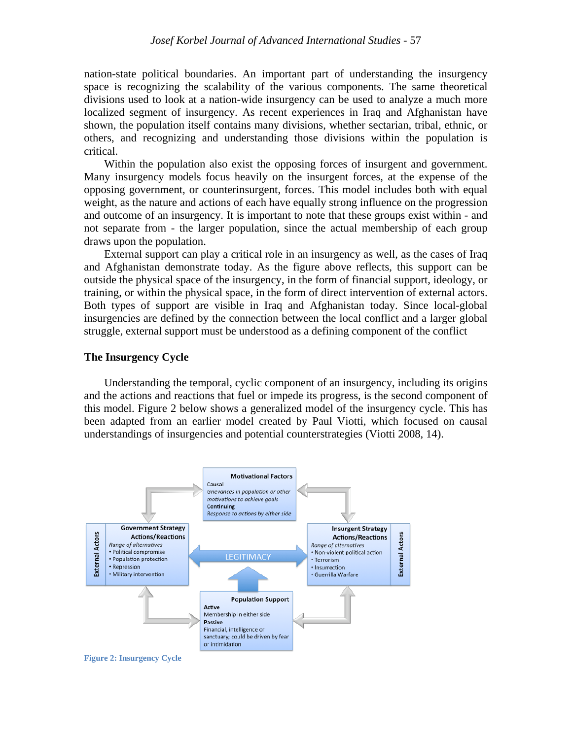nation-state political boundaries. An important part of understanding the insurgency space is recognizing the scalability of the various components. The same theoretical divisions used to look at a nation-wide insurgency can be used to analyze a much more localized segment of insurgency. As recent experiences in Iraq and Afghanistan have shown, the population itself contains many divisions, whether sectarian, tribal, ethnic, or others, and recognizing and understanding those divisions within the population is critical.

Within the population also exist the opposing forces of insurgent and government. Many insurgency models focus heavily on the insurgent forces, at the expense of the opposing government, or counterinsurgent, forces. This model includes both with equal weight, as the nature and actions of each have equally strong influence on the progression and outcome of an insurgency. It is important to note that these groups exist within - and not separate from - the larger population, since the actual membership of each group draws upon the population.

External support can play a critical role in an insurgency as well, as the cases of Iraq and Afghanistan demonstrate today. As the figure above reflects, this support can be outside the physical space of the insurgency, in the form of financial support, ideology, or training, or within the physical space, in the form of direct intervention of external actors. Both types of support are visible in Iraq and Afghanistan today. Since local-global insurgencies are defined by the connection between the local conflict and a larger global struggle, external support must be understood as a defining component of the conflict

#### **The Insurgency Cycle**

Understanding the temporal, cyclic component of an insurgency, including its origins and the actions and reactions that fuel or impede its progress, is the second component of this model. Figure 2 below shows a generalized model of the insurgency cycle. This has been adapted from an earlier model created by Paul Viotti, which focused on causal understandings of insurgencies and potential counterstrategies (Viotti 2008, 14).



**Figure 2: Insurgency Cycle**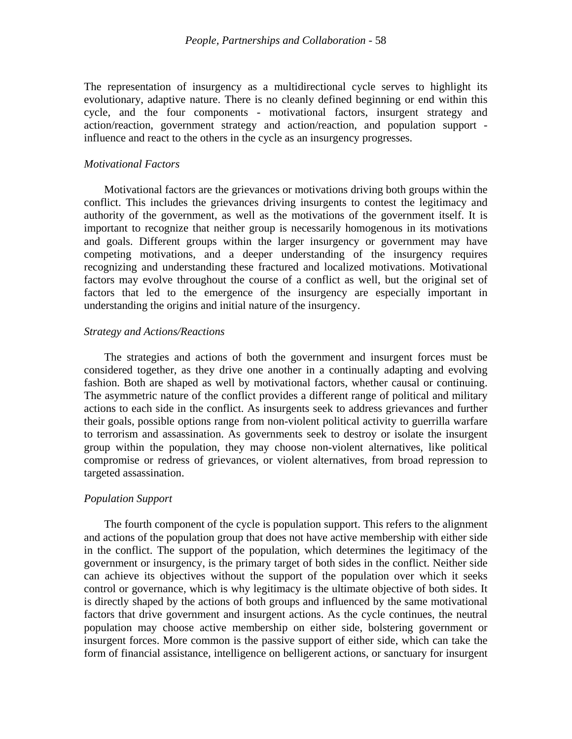The representation of insurgency as a multidirectional cycle serves to highlight its evolutionary, adaptive nature. There is no cleanly defined beginning or end within this cycle, and the four components - motivational factors, insurgent strategy and action/reaction, government strategy and action/reaction, and population support influence and react to the others in the cycle as an insurgency progresses.

#### *Motivational Factors*

Motivational factors are the grievances or motivations driving both groups within the conflict. This includes the grievances driving insurgents to contest the legitimacy and authority of the government, as well as the motivations of the government itself. It is important to recognize that neither group is necessarily homogenous in its motivations and goals. Different groups within the larger insurgency or government may have competing motivations, and a deeper understanding of the insurgency requires recognizing and understanding these fractured and localized motivations. Motivational factors may evolve throughout the course of a conflict as well, but the original set of factors that led to the emergence of the insurgency are especially important in understanding the origins and initial nature of the insurgency.

#### *Strategy and Actions/Reactions*

The strategies and actions of both the government and insurgent forces must be considered together, as they drive one another in a continually adapting and evolving fashion. Both are shaped as well by motivational factors, whether causal or continuing. The asymmetric nature of the conflict provides a different range of political and military actions to each side in the conflict. As insurgents seek to address grievances and further their goals, possible options range from non-violent political activity to guerrilla warfare to terrorism and assassination. As governments seek to destroy or isolate the insurgent group within the population, they may choose non-violent alternatives, like political compromise or redress of grievances, or violent alternatives, from broad repression to targeted assassination.

#### *Population Support*

The fourth component of the cycle is population support. This refers to the alignment and actions of the population group that does not have active membership with either side in the conflict. The support of the population, which determines the legitimacy of the government or insurgency, is the primary target of both sides in the conflict. Neither side can achieve its objectives without the support of the population over which it seeks control or governance, which is why legitimacy is the ultimate objective of both sides. It is directly shaped by the actions of both groups and influenced by the same motivational factors that drive government and insurgent actions. As the cycle continues, the neutral population may choose active membership on either side, bolstering government or insurgent forces. More common is the passive support of either side, which can take the form of financial assistance, intelligence on belligerent actions, or sanctuary for insurgent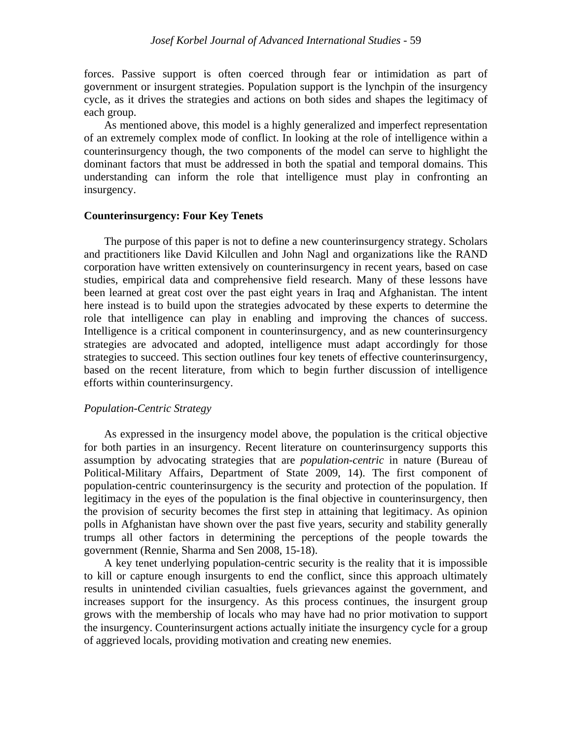forces. Passive support is often coerced through fear or intimidation as part of government or insurgent strategies. Population support is the lynchpin of the insurgency cycle, as it drives the strategies and actions on both sides and shapes the legitimacy of each group.

As mentioned above, this model is a highly generalized and imperfect representation of an extremely complex mode of conflict. In looking at the role of intelligence within a counterinsurgency though, the two components of the model can serve to highlight the dominant factors that must be addressed in both the spatial and temporal domains. This understanding can inform the role that intelligence must play in confronting an insurgency.

### **Counterinsurgency: Four Key Tenets**

The purpose of this paper is not to define a new counterinsurgency strategy. Scholars and practitioners like David Kilcullen and John Nagl and organizations like the RAND corporation have written extensively on counterinsurgency in recent years, based on case studies, empirical data and comprehensive field research. Many of these lessons have been learned at great cost over the past eight years in Iraq and Afghanistan. The intent here instead is to build upon the strategies advocated by these experts to determine the role that intelligence can play in enabling and improving the chances of success. Intelligence is a critical component in counterinsurgency, and as new counterinsurgency strategies are advocated and adopted, intelligence must adapt accordingly for those strategies to succeed. This section outlines four key tenets of effective counterinsurgency, based on the recent literature, from which to begin further discussion of intelligence efforts within counterinsurgency.

#### *Population-Centric Strategy*

As expressed in the insurgency model above, the population is the critical objective for both parties in an insurgency. Recent literature on counterinsurgency supports this assumption by advocating strategies that are *population-centric* in nature (Bureau of Political-Military Affairs, Department of State 2009, 14). The first component of population-centric counterinsurgency is the security and protection of the population. If legitimacy in the eyes of the population is the final objective in counterinsurgency, then the provision of security becomes the first step in attaining that legitimacy. As opinion polls in Afghanistan have shown over the past five years, security and stability generally trumps all other factors in determining the perceptions of the people towards the government (Rennie, Sharma and Sen 2008, 15-18).

A key tenet underlying population-centric security is the reality that it is impossible to kill or capture enough insurgents to end the conflict, since this approach ultimately results in unintended civilian casualties, fuels grievances against the government, and increases support for the insurgency. As this process continues, the insurgent group grows with the membership of locals who may have had no prior motivation to support the insurgency. Counterinsurgent actions actually initiate the insurgency cycle for a group of aggrieved locals, providing motivation and creating new enemies.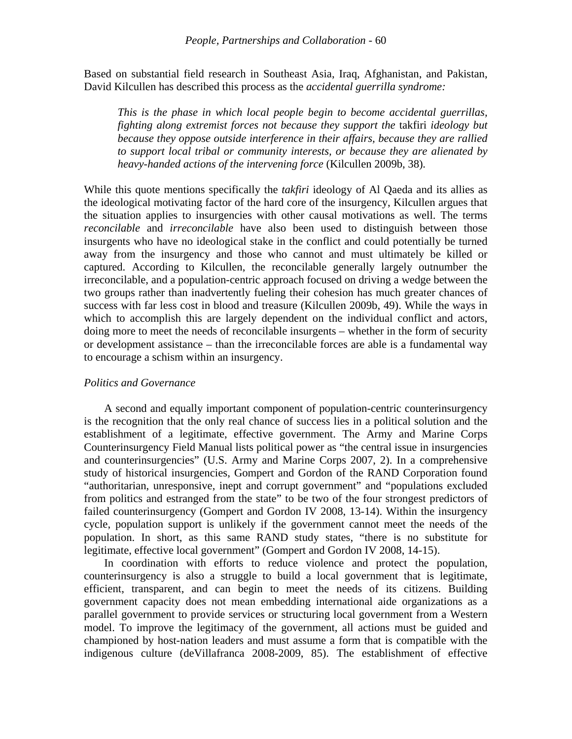Based on substantial field research in Southeast Asia, Iraq, Afghanistan, and Pakistan, David Kilcullen has described this process as the *accidental guerrilla syndrome:*

*This is the phase in which local people begin to become accidental guerrillas, fighting along extremist forces not because they support the* takfiri *ideology but because they oppose outside interference in their affairs, because they are rallied to support local tribal or community interests, or because they are alienated by heavy-handed actions of the intervening force* (Kilcullen 2009b, 38)*.*

While this quote mentions specifically the *takfiri* ideology of Al Qaeda and its allies as the ideological motivating factor of the hard core of the insurgency, Kilcullen argues that the situation applies to insurgencies with other causal motivations as well. The terms *reconcilable* and *irreconcilable* have also been used to distinguish between those insurgents who have no ideological stake in the conflict and could potentially be turned away from the insurgency and those who cannot and must ultimately be killed or captured. According to Kilcullen, the reconcilable generally largely outnumber the irreconcilable, and a population-centric approach focused on driving a wedge between the two groups rather than inadvertently fueling their cohesion has much greater chances of success with far less cost in blood and treasure (Kilcullen 2009b, 49). While the ways in which to accomplish this are largely dependent on the individual conflict and actors, doing more to meet the needs of reconcilable insurgents – whether in the form of security or development assistance – than the irreconcilable forces are able is a fundamental way to encourage a schism within an insurgency.

#### *Politics and Governance*

A second and equally important component of population-centric counterinsurgency is the recognition that the only real chance of success lies in a political solution and the establishment of a legitimate, effective government. The Army and Marine Corps Counterinsurgency Field Manual lists political power as "the central issue in insurgencies and counterinsurgencies" (U.S. Army and Marine Corps 2007, 2). In a comprehensive study of historical insurgencies, Gompert and Gordon of the RAND Corporation found "authoritarian, unresponsive, inept and corrupt government" and "populations excluded from politics and estranged from the state" to be two of the four strongest predictors of failed counterinsurgency (Gompert and Gordon IV 2008, 13-14). Within the insurgency cycle, population support is unlikely if the government cannot meet the needs of the population. In short, as this same RAND study states, "there is no substitute for legitimate, effective local government" (Gompert and Gordon IV 2008, 14-15).

In coordination with efforts to reduce violence and protect the population, counterinsurgency is also a struggle to build a local government that is legitimate, efficient, transparent, and can begin to meet the needs of its citizens. Building government capacity does not mean embedding international aide organizations as a parallel government to provide services or structuring local government from a Western model. To improve the legitimacy of the government, all actions must be guided and championed by host-nation leaders and must assume a form that is compatible with the indigenous culture (deVillafranca 2008-2009, 85). The establishment of effective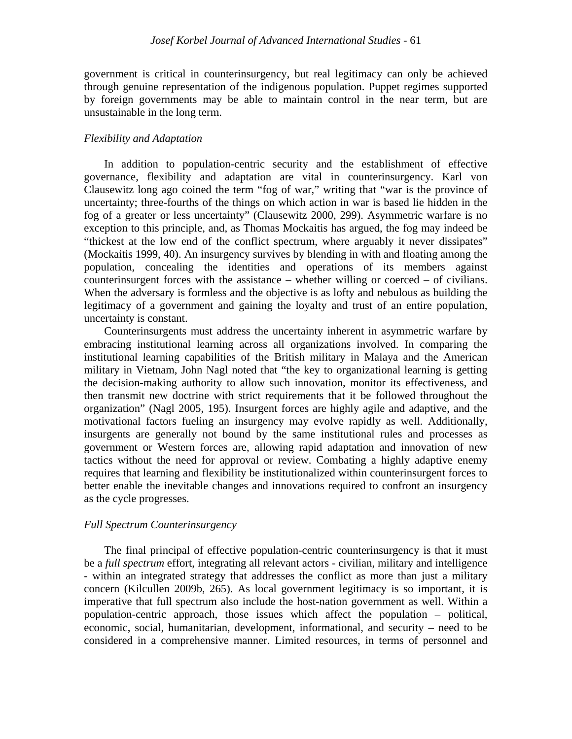government is critical in counterinsurgency, but real legitimacy can only be achieved through genuine representation of the indigenous population. Puppet regimes supported by foreign governments may be able to maintain control in the near term, but are unsustainable in the long term.

#### *Flexibility and Adaptation*

In addition to population-centric security and the establishment of effective governance, flexibility and adaptation are vital in counterinsurgency. Karl von Clausewitz long ago coined the term "fog of war," writing that "war is the province of uncertainty; three-fourths of the things on which action in war is based lie hidden in the fog of a greater or less uncertainty" (Clausewitz 2000, 299). Asymmetric warfare is no exception to this principle, and, as Thomas Mockaitis has argued, the fog may indeed be "thickest at the low end of the conflict spectrum, where arguably it never dissipates" (Mockaitis 1999, 40). An insurgency survives by blending in with and floating among the population, concealing the identities and operations of its members against counterinsurgent forces with the assistance – whether willing or coerced – of civilians. When the adversary is formless and the objective is as lofty and nebulous as building the legitimacy of a government and gaining the loyalty and trust of an entire population, uncertainty is constant.

Counterinsurgents must address the uncertainty inherent in asymmetric warfare by embracing institutional learning across all organizations involved. In comparing the institutional learning capabilities of the British military in Malaya and the American military in Vietnam, John Nagl noted that "the key to organizational learning is getting the decision-making authority to allow such innovation, monitor its effectiveness, and then transmit new doctrine with strict requirements that it be followed throughout the organization" (Nagl 2005, 195). Insurgent forces are highly agile and adaptive, and the motivational factors fueling an insurgency may evolve rapidly as well. Additionally, insurgents are generally not bound by the same institutional rules and processes as government or Western forces are, allowing rapid adaptation and innovation of new tactics without the need for approval or review. Combating a highly adaptive enemy requires that learning and flexibility be institutionalized within counterinsurgent forces to better enable the inevitable changes and innovations required to confront an insurgency as the cycle progresses.

#### *Full Spectrum Counterinsurgency*

The final principal of effective population-centric counterinsurgency is that it must be a *full spectrum* effort, integrating all relevant actors - civilian, military and intelligence - within an integrated strategy that addresses the conflict as more than just a military concern (Kilcullen 2009b, 265). As local government legitimacy is so important, it is imperative that full spectrum also include the host-nation government as well. Within a population-centric approach, those issues which affect the population – political, economic, social, humanitarian, development, informational, and security – need to be considered in a comprehensive manner. Limited resources, in terms of personnel and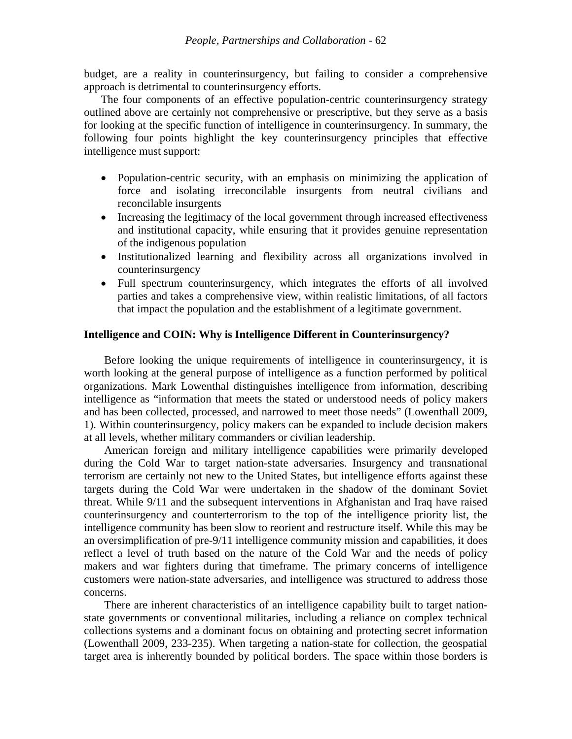budget, are a reality in counterinsurgency, but failing to consider a comprehensive approach is detrimental to counterinsurgency efforts.

The four components of an effective population-centric counterinsurgency strategy outlined above are certainly not comprehensive or prescriptive, but they serve as a basis for looking at the specific function of intelligence in counterinsurgency. In summary, the following four points highlight the key counterinsurgency principles that effective intelligence must support:

- Population-centric security, with an emphasis on minimizing the application of force and isolating irreconcilable insurgents from neutral civilians and reconcilable insurgents
- Increasing the legitimacy of the local government through increased effectiveness and institutional capacity, while ensuring that it provides genuine representation of the indigenous population
- Institutionalized learning and flexibility across all organizations involved in counterinsurgency
- Full spectrum counterinsurgency, which integrates the efforts of all involved parties and takes a comprehensive view, within realistic limitations, of all factors that impact the population and the establishment of a legitimate government.

#### **Intelligence and COIN: Why is Intelligence Different in Counterinsurgency?**

Before looking the unique requirements of intelligence in counterinsurgency, it is worth looking at the general purpose of intelligence as a function performed by political organizations. Mark Lowenthal distinguishes intelligence from information, describing intelligence as "information that meets the stated or understood needs of policy makers and has been collected, processed, and narrowed to meet those needs" (Lowenthall 2009, 1). Within counterinsurgency, policy makers can be expanded to include decision makers at all levels, whether military commanders or civilian leadership.

American foreign and military intelligence capabilities were primarily developed during the Cold War to target nation-state adversaries. Insurgency and transnational terrorism are certainly not new to the United States, but intelligence efforts against these targets during the Cold War were undertaken in the shadow of the dominant Soviet threat. While 9/11 and the subsequent interventions in Afghanistan and Iraq have raised counterinsurgency and counterterrorism to the top of the intelligence priority list, the intelligence community has been slow to reorient and restructure itself. While this may be an oversimplification of pre-9/11 intelligence community mission and capabilities, it does reflect a level of truth based on the nature of the Cold War and the needs of policy makers and war fighters during that timeframe. The primary concerns of intelligence customers were nation-state adversaries, and intelligence was structured to address those concerns.

There are inherent characteristics of an intelligence capability built to target nationstate governments or conventional militaries, including a reliance on complex technical collections systems and a dominant focus on obtaining and protecting secret information (Lowenthall 2009, 233-235). When targeting a nation-state for collection, the geospatial target area is inherently bounded by political borders. The space within those borders is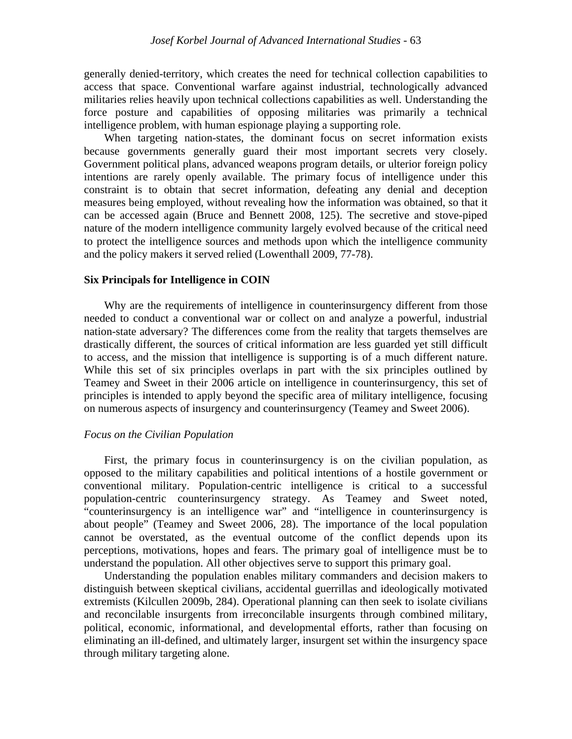generally denied-territory, which creates the need for technical collection capabilities to access that space. Conventional warfare against industrial, technologically advanced militaries relies heavily upon technical collections capabilities as well. Understanding the force posture and capabilities of opposing militaries was primarily a technical intelligence problem, with human espionage playing a supporting role.

When targeting nation-states, the dominant focus on secret information exists because governments generally guard their most important secrets very closely. Government political plans, advanced weapons program details, or ulterior foreign policy intentions are rarely openly available. The primary focus of intelligence under this constraint is to obtain that secret information, defeating any denial and deception measures being employed, without revealing how the information was obtained, so that it can be accessed again (Bruce and Bennett 2008, 125). The secretive and stove-piped nature of the modern intelligence community largely evolved because of the critical need to protect the intelligence sources and methods upon which the intelligence community and the policy makers it served relied (Lowenthall 2009, 77-78).

#### **Six Principals for Intelligence in COIN**

Why are the requirements of intelligence in counterinsurgency different from those needed to conduct a conventional war or collect on and analyze a powerful, industrial nation-state adversary? The differences come from the reality that targets themselves are drastically different, the sources of critical information are less guarded yet still difficult to access, and the mission that intelligence is supporting is of a much different nature. While this set of six principles overlaps in part with the six principles outlined by Teamey and Sweet in their 2006 article on intelligence in counterinsurgency, this set of principles is intended to apply beyond the specific area of military intelligence, focusing on numerous aspects of insurgency and counterinsurgency (Teamey and Sweet 2006).

#### *Focus on the Civilian Population*

First, the primary focus in counterinsurgency is on the civilian population, as opposed to the military capabilities and political intentions of a hostile government or conventional military. Population-centric intelligence is critical to a successful population-centric counterinsurgency strategy. As Teamey and Sweet noted, "counterinsurgency is an intelligence war" and "intelligence in counterinsurgency is about people" (Teamey and Sweet 2006, 28). The importance of the local population cannot be overstated, as the eventual outcome of the conflict depends upon its perceptions, motivations, hopes and fears. The primary goal of intelligence must be to understand the population. All other objectives serve to support this primary goal.

Understanding the population enables military commanders and decision makers to distinguish between skeptical civilians, accidental guerrillas and ideologically motivated extremists (Kilcullen 2009b, 284). Operational planning can then seek to isolate civilians and reconcilable insurgents from irreconcilable insurgents through combined military, political, economic, informational, and developmental efforts, rather than focusing on eliminating an ill-defined, and ultimately larger, insurgent set within the insurgency space through military targeting alone.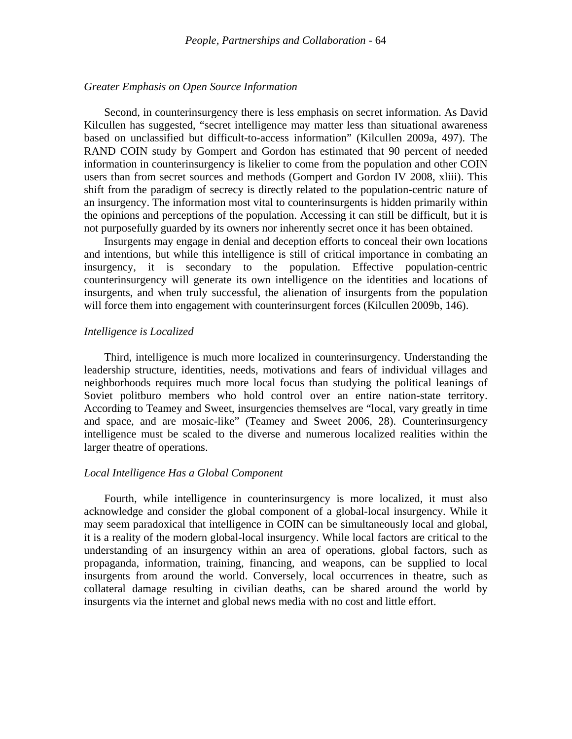#### *Greater Emphasis on Open Source Information*

Second, in counterinsurgency there is less emphasis on secret information. As David Kilcullen has suggested, "secret intelligence may matter less than situational awareness based on unclassified but difficult-to-access information" (Kilcullen 2009a, 497). The RAND COIN study by Gompert and Gordon has estimated that 90 percent of needed information in counterinsurgency is likelier to come from the population and other COIN users than from secret sources and methods (Gompert and Gordon IV 2008, xliii). This shift from the paradigm of secrecy is directly related to the population-centric nature of an insurgency. The information most vital to counterinsurgents is hidden primarily within the opinions and perceptions of the population. Accessing it can still be difficult, but it is not purposefully guarded by its owners nor inherently secret once it has been obtained.

Insurgents may engage in denial and deception efforts to conceal their own locations and intentions, but while this intelligence is still of critical importance in combating an insurgency, it is secondary to the population. Effective population-centric counterinsurgency will generate its own intelligence on the identities and locations of insurgents, and when truly successful, the alienation of insurgents from the population will force them into engagement with counterinsurgent forces (Kilcullen 2009b, 146).

#### *Intelligence is Localized*

Third, intelligence is much more localized in counterinsurgency. Understanding the leadership structure, identities, needs, motivations and fears of individual villages and neighborhoods requires much more local focus than studying the political leanings of Soviet politburo members who hold control over an entire nation-state territory. According to Teamey and Sweet, insurgencies themselves are "local, vary greatly in time and space, and are mosaic-like" (Teamey and Sweet 2006, 28). Counterinsurgency intelligence must be scaled to the diverse and numerous localized realities within the larger theatre of operations.

#### *Local Intelligence Has a Global Component*

Fourth, while intelligence in counterinsurgency is more localized, it must also acknowledge and consider the global component of a global-local insurgency. While it may seem paradoxical that intelligence in COIN can be simultaneously local and global, it is a reality of the modern global-local insurgency. While local factors are critical to the understanding of an insurgency within an area of operations, global factors, such as propaganda, information, training, financing, and weapons, can be supplied to local insurgents from around the world. Conversely, local occurrences in theatre, such as collateral damage resulting in civilian deaths, can be shared around the world by insurgents via the internet and global news media with no cost and little effort.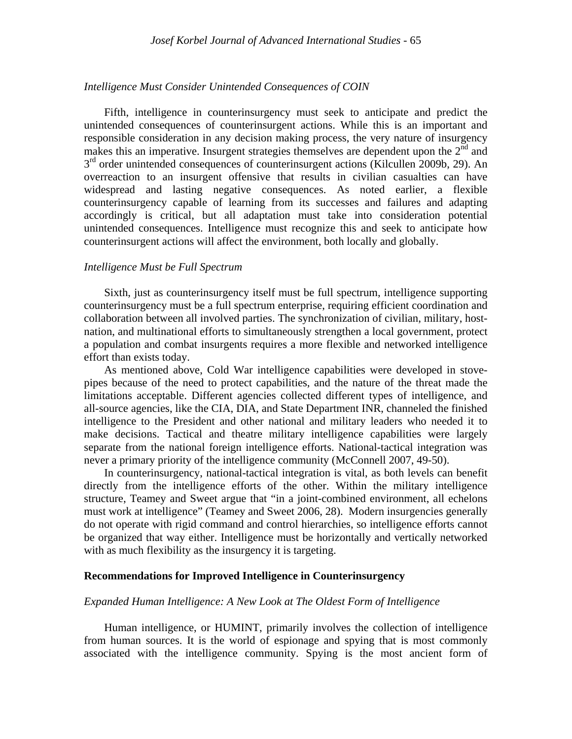#### *Intelligence Must Consider Unintended Consequences of COIN*

Fifth, intelligence in counterinsurgency must seek to anticipate and predict the unintended consequences of counterinsurgent actions. While this is an important and responsible consideration in any decision making process, the very nature of insurgency makes this an imperative. Insurgent strategies themselves are dependent upon the  $2<sup>nd</sup>$  and  $3<sup>rd</sup>$  order unintended consequences of counterinsurgent actions (Kilcullen 2009b, 29). An overreaction to an insurgent offensive that results in civilian casualties can have widespread and lasting negative consequences. As noted earlier, a flexible counterinsurgency capable of learning from its successes and failures and adapting accordingly is critical, but all adaptation must take into consideration potential unintended consequences. Intelligence must recognize this and seek to anticipate how counterinsurgent actions will affect the environment, both locally and globally.

#### *Intelligence Must be Full Spectrum*

Sixth, just as counterinsurgency itself must be full spectrum, intelligence supporting counterinsurgency must be a full spectrum enterprise, requiring efficient coordination and collaboration between all involved parties. The synchronization of civilian, military, hostnation, and multinational efforts to simultaneously strengthen a local government, protect a population and combat insurgents requires a more flexible and networked intelligence effort than exists today.

As mentioned above, Cold War intelligence capabilities were developed in stovepipes because of the need to protect capabilities, and the nature of the threat made the limitations acceptable. Different agencies collected different types of intelligence, and all-source agencies, like the CIA, DIA, and State Department INR, channeled the finished intelligence to the President and other national and military leaders who needed it to make decisions. Tactical and theatre military intelligence capabilities were largely separate from the national foreign intelligence efforts. National-tactical integration was never a primary priority of the intelligence community (McConnell 2007, 49-50).

In counterinsurgency, national-tactical integration is vital, as both levels can benefit directly from the intelligence efforts of the other. Within the military intelligence structure, Teamey and Sweet argue that "in a joint-combined environment, all echelons must work at intelligence" (Teamey and Sweet 2006, 28). Modern insurgencies generally do not operate with rigid command and control hierarchies, so intelligence efforts cannot be organized that way either. Intelligence must be horizontally and vertically networked with as much flexibility as the insurgency it is targeting.

#### **Recommendations for Improved Intelligence in Counterinsurgency**

#### *Expanded Human Intelligence: A New Look at The Oldest Form of Intelligence*

Human intelligence, or HUMINT, primarily involves the collection of intelligence from human sources. It is the world of espionage and spying that is most commonly associated with the intelligence community. Spying is the most ancient form of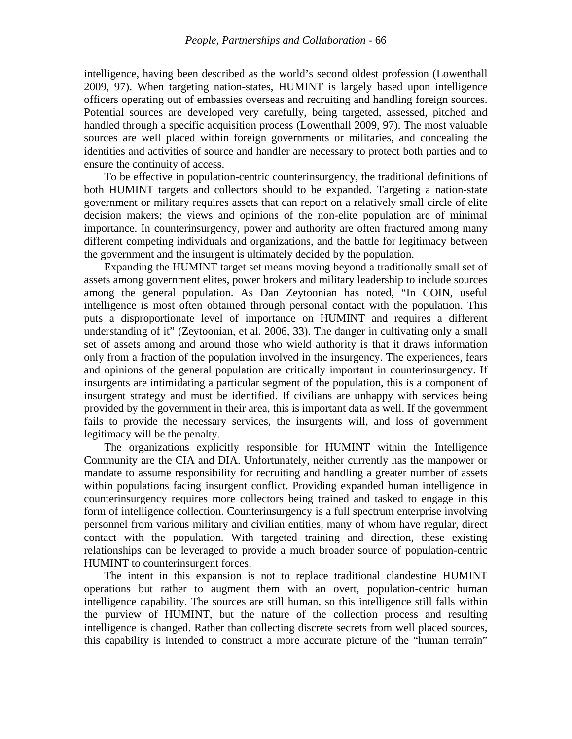intelligence, having been described as the world's second oldest profession (Lowenthall 2009, 97). When targeting nation-states, HUMINT is largely based upon intelligence officers operating out of embassies overseas and recruiting and handling foreign sources. Potential sources are developed very carefully, being targeted, assessed, pitched and handled through a specific acquisition process (Lowenthall 2009, 97). The most valuable sources are well placed within foreign governments or militaries, and concealing the identities and activities of source and handler are necessary to protect both parties and to ensure the continuity of access.

To be effective in population-centric counterinsurgency, the traditional definitions of both HUMINT targets and collectors should to be expanded. Targeting a nation-state government or military requires assets that can report on a relatively small circle of elite decision makers; the views and opinions of the non-elite population are of minimal importance. In counterinsurgency, power and authority are often fractured among many different competing individuals and organizations, and the battle for legitimacy between the government and the insurgent is ultimately decided by the population.

Expanding the HUMINT target set means moving beyond a traditionally small set of assets among government elites, power brokers and military leadership to include sources among the general population. As Dan Zeytoonian has noted, "In COIN, useful intelligence is most often obtained through personal contact with the population. This puts a disproportionate level of importance on HUMINT and requires a different understanding of it" (Zeytoonian, et al. 2006, 33). The danger in cultivating only a small set of assets among and around those who wield authority is that it draws information only from a fraction of the population involved in the insurgency. The experiences, fears and opinions of the general population are critically important in counterinsurgency. If insurgents are intimidating a particular segment of the population, this is a component of insurgent strategy and must be identified. If civilians are unhappy with services being provided by the government in their area, this is important data as well. If the government fails to provide the necessary services, the insurgents will, and loss of government legitimacy will be the penalty.

The organizations explicitly responsible for HUMINT within the Intelligence Community are the CIA and DIA. Unfortunately, neither currently has the manpower or mandate to assume responsibility for recruiting and handling a greater number of assets within populations facing insurgent conflict. Providing expanded human intelligence in counterinsurgency requires more collectors being trained and tasked to engage in this form of intelligence collection. Counterinsurgency is a full spectrum enterprise involving personnel from various military and civilian entities, many of whom have regular, direct contact with the population. With targeted training and direction, these existing relationships can be leveraged to provide a much broader source of population-centric HUMINT to counterinsurgent forces.

The intent in this expansion is not to replace traditional clandestine HUMINT operations but rather to augment them with an overt, population-centric human intelligence capability. The sources are still human, so this intelligence still falls within the purview of HUMINT, but the nature of the collection process and resulting intelligence is changed. Rather than collecting discrete secrets from well placed sources, this capability is intended to construct a more accurate picture of the "human terrain"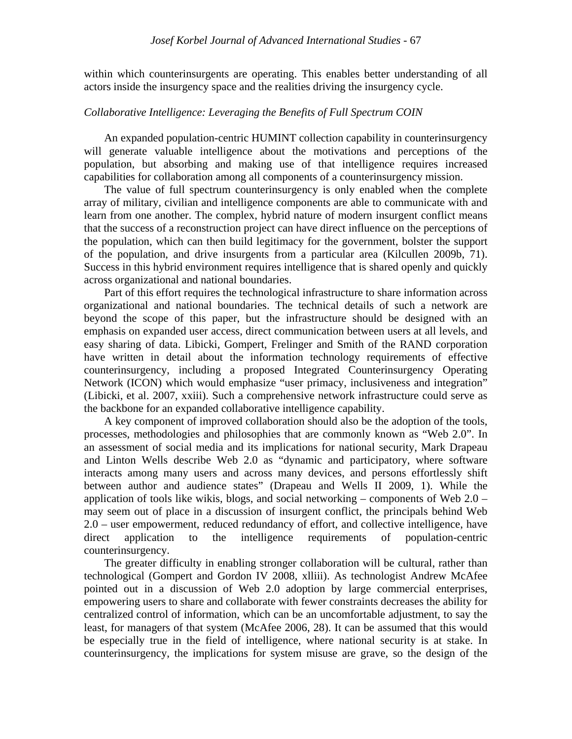within which counterinsurgents are operating. This enables better understanding of all actors inside the insurgency space and the realities driving the insurgency cycle.

#### *Collaborative Intelligence: Leveraging the Benefits of Full Spectrum COIN*

An expanded population-centric HUMINT collection capability in counterinsurgency will generate valuable intelligence about the motivations and perceptions of the population, but absorbing and making use of that intelligence requires increased capabilities for collaboration among all components of a counterinsurgency mission.

The value of full spectrum counterinsurgency is only enabled when the complete array of military, civilian and intelligence components are able to communicate with and learn from one another. The complex, hybrid nature of modern insurgent conflict means that the success of a reconstruction project can have direct influence on the perceptions of the population, which can then build legitimacy for the government, bolster the support of the population, and drive insurgents from a particular area (Kilcullen 2009b, 71). Success in this hybrid environment requires intelligence that is shared openly and quickly across organizational and national boundaries.

Part of this effort requires the technological infrastructure to share information across organizational and national boundaries. The technical details of such a network are beyond the scope of this paper, but the infrastructure should be designed with an emphasis on expanded user access, direct communication between users at all levels, and easy sharing of data. Libicki, Gompert, Frelinger and Smith of the RAND corporation have written in detail about the information technology requirements of effective counterinsurgency, including a proposed Integrated Counterinsurgency Operating Network (ICON) which would emphasize "user primacy, inclusiveness and integration" (Libicki, et al. 2007, xxiii). Such a comprehensive network infrastructure could serve as the backbone for an expanded collaborative intelligence capability.

A key component of improved collaboration should also be the adoption of the tools, processes, methodologies and philosophies that are commonly known as "Web 2.0". In an assessment of social media and its implications for national security, Mark Drapeau and Linton Wells describe Web 2.0 as "dynamic and participatory, where software interacts among many users and across many devices, and persons effortlessly shift between author and audience states" (Drapeau and Wells II 2009, 1). While the application of tools like wikis, blogs, and social networking – components of Web  $2.0$  – may seem out of place in a discussion of insurgent conflict, the principals behind Web 2.0 – user empowerment, reduced redundancy of effort, and collective intelligence, have direct application to the intelligence requirements of population-centric counterinsurgency.

The greater difficulty in enabling stronger collaboration will be cultural, rather than technological (Gompert and Gordon IV 2008, xlliii). As technologist Andrew McAfee pointed out in a discussion of Web 2.0 adoption by large commercial enterprises, empowering users to share and collaborate with fewer constraints decreases the ability for centralized control of information, which can be an uncomfortable adjustment, to say the least, for managers of that system (McAfee 2006, 28). It can be assumed that this would be especially true in the field of intelligence, where national security is at stake. In counterinsurgency, the implications for system misuse are grave, so the design of the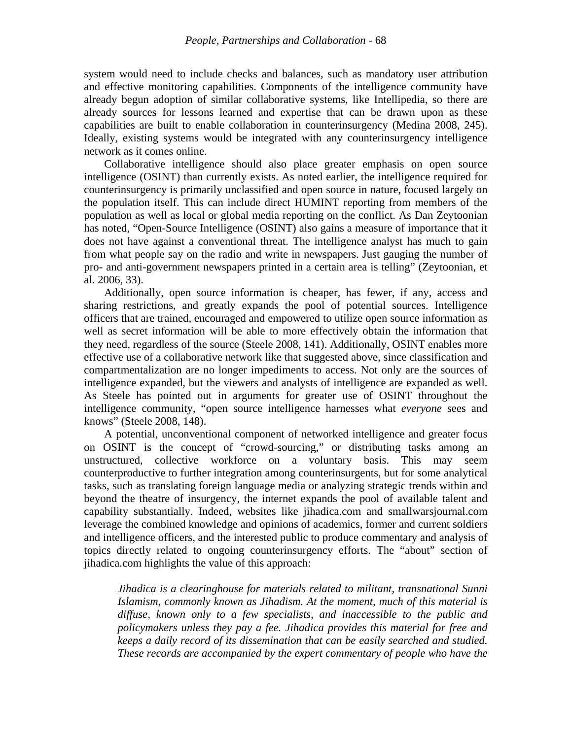system would need to include checks and balances, such as mandatory user attribution and effective monitoring capabilities. Components of the intelligence community have already begun adoption of similar collaborative systems, like Intellipedia, so there are already sources for lessons learned and expertise that can be drawn upon as these capabilities are built to enable collaboration in counterinsurgency (Medina 2008, 245). Ideally, existing systems would be integrated with any counterinsurgency intelligence network as it comes online.

Collaborative intelligence should also place greater emphasis on open source intelligence (OSINT) than currently exists. As noted earlier, the intelligence required for counterinsurgency is primarily unclassified and open source in nature, focused largely on the population itself. This can include direct HUMINT reporting from members of the population as well as local or global media reporting on the conflict. As Dan Zeytoonian has noted, "Open-Source Intelligence (OSINT) also gains a measure of importance that it does not have against a conventional threat. The intelligence analyst has much to gain from what people say on the radio and write in newspapers. Just gauging the number of pro- and anti-government newspapers printed in a certain area is telling" (Zeytoonian, et al. 2006, 33).

Additionally, open source information is cheaper, has fewer, if any, access and sharing restrictions, and greatly expands the pool of potential sources. Intelligence officers that are trained, encouraged and empowered to utilize open source information as well as secret information will be able to more effectively obtain the information that they need, regardless of the source (Steele 2008, 141). Additionally, OSINT enables more effective use of a collaborative network like that suggested above, since classification and compartmentalization are no longer impediments to access. Not only are the sources of intelligence expanded, but the viewers and analysts of intelligence are expanded as well. As Steele has pointed out in arguments for greater use of OSINT throughout the intelligence community, "open source intelligence harnesses what *everyone* sees and knows" (Steele 2008, 148).

A potential, unconventional component of networked intelligence and greater focus on OSINT is the concept of "crowd-sourcing," or distributing tasks among an unstructured, collective workforce on a voluntary basis. This may seem counterproductive to further integration among counterinsurgents, but for some analytical tasks, such as translating foreign language media or analyzing strategic trends within and beyond the theatre of insurgency, the internet expands the pool of available talent and capability substantially. Indeed, websites like jihadica.com and smallwarsjournal.com leverage the combined knowledge and opinions of academics, former and current soldiers and intelligence officers, and the interested public to produce commentary and analysis of topics directly related to ongoing counterinsurgency efforts. The "about" section of jihadica.com highlights the value of this approach:

*Jihadica is a clearinghouse for materials related to militant, transnational Sunni Islamism, commonly known as Jihadism. At the moment, much of this material is diffuse, known only to a few specialists, and inaccessible to the public and policymakers unless they pay a fee. Jihadica provides this material for free and keeps a daily record of its dissemination that can be easily searched and studied. These records are accompanied by the expert commentary of people who have the*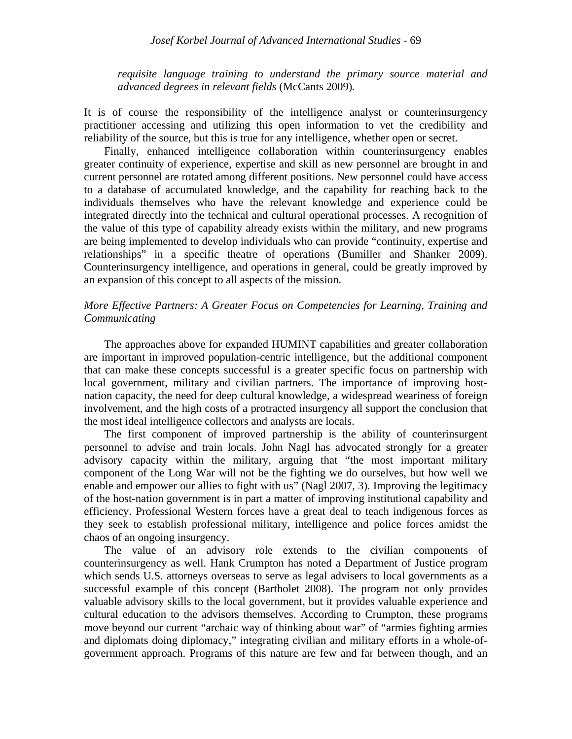*requisite language training to understand the primary source material and advanced degrees in relevant fields* (McCants 2009)*.*

It is of course the responsibility of the intelligence analyst or counterinsurgency practitioner accessing and utilizing this open information to vet the credibility and reliability of the source, but this is true for any intelligence, whether open or secret.

Finally, enhanced intelligence collaboration within counterinsurgency enables greater continuity of experience, expertise and skill as new personnel are brought in and current personnel are rotated among different positions. New personnel could have access to a database of accumulated knowledge, and the capability for reaching back to the individuals themselves who have the relevant knowledge and experience could be integrated directly into the technical and cultural operational processes. A recognition of the value of this type of capability already exists within the military, and new programs are being implemented to develop individuals who can provide "continuity, expertise and relationships" in a specific theatre of operations (Bumiller and Shanker 2009). Counterinsurgency intelligence, and operations in general, could be greatly improved by an expansion of this concept to all aspects of the mission.

## *More Effective Partners: A Greater Focus on Competencies for Learning, Training and Communicating*

The approaches above for expanded HUMINT capabilities and greater collaboration are important in improved population-centric intelligence, but the additional component that can make these concepts successful is a greater specific focus on partnership with local government, military and civilian partners. The importance of improving hostnation capacity, the need for deep cultural knowledge, a widespread weariness of foreign involvement, and the high costs of a protracted insurgency all support the conclusion that the most ideal intelligence collectors and analysts are locals.

The first component of improved partnership is the ability of counterinsurgent personnel to advise and train locals. John Nagl has advocated strongly for a greater advisory capacity within the military, arguing that "the most important military component of the Long War will not be the fighting we do ourselves, but how well we enable and empower our allies to fight with us" (Nagl 2007, 3). Improving the legitimacy of the host-nation government is in part a matter of improving institutional capability and efficiency. Professional Western forces have a great deal to teach indigenous forces as they seek to establish professional military, intelligence and police forces amidst the chaos of an ongoing insurgency.

The value of an advisory role extends to the civilian components of counterinsurgency as well. Hank Crumpton has noted a Department of Justice program which sends U.S. attorneys overseas to serve as legal advisers to local governments as a successful example of this concept (Bartholet 2008). The program not only provides valuable advisory skills to the local government, but it provides valuable experience and cultural education to the advisors themselves. According to Crumpton, these programs move beyond our current "archaic way of thinking about war" of "armies fighting armies and diplomats doing diplomacy," integrating civilian and military efforts in a whole-ofgovernment approach. Programs of this nature are few and far between though, and an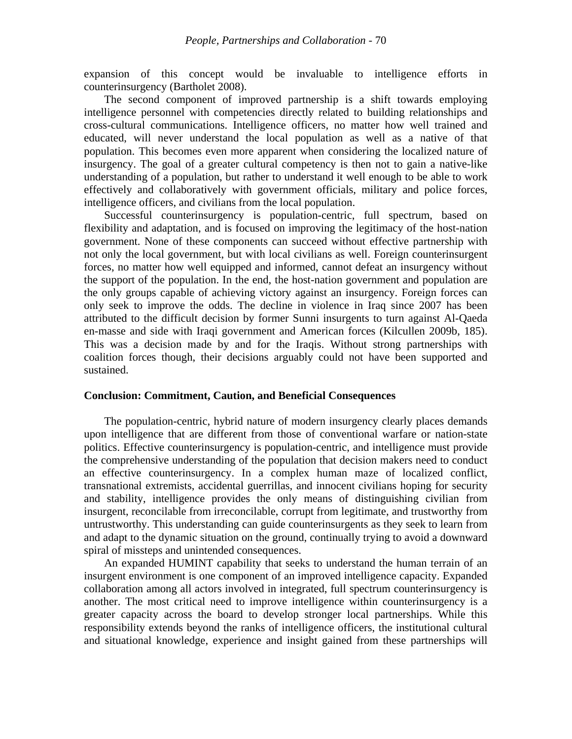expansion of this concept would be invaluable to intelligence efforts in counterinsurgency (Bartholet 2008).

The second component of improved partnership is a shift towards employing intelligence personnel with competencies directly related to building relationships and cross-cultural communications. Intelligence officers, no matter how well trained and educated, will never understand the local population as well as a native of that population. This becomes even more apparent when considering the localized nature of insurgency. The goal of a greater cultural competency is then not to gain a native-like understanding of a population, but rather to understand it well enough to be able to work effectively and collaboratively with government officials, military and police forces, intelligence officers, and civilians from the local population.

Successful counterinsurgency is population-centric, full spectrum, based on flexibility and adaptation, and is focused on improving the legitimacy of the host-nation government. None of these components can succeed without effective partnership with not only the local government, but with local civilians as well. Foreign counterinsurgent forces, no matter how well equipped and informed, cannot defeat an insurgency without the support of the population. In the end, the host-nation government and population are the only groups capable of achieving victory against an insurgency. Foreign forces can only seek to improve the odds. The decline in violence in Iraq since 2007 has been attributed to the difficult decision by former Sunni insurgents to turn against Al-Qaeda en-masse and side with Iraqi government and American forces (Kilcullen 2009b, 185). This was a decision made by and for the Iraqis. Without strong partnerships with coalition forces though, their decisions arguably could not have been supported and sustained.

#### **Conclusion: Commitment, Caution, and Beneficial Consequences**

The population-centric, hybrid nature of modern insurgency clearly places demands upon intelligence that are different from those of conventional warfare or nation-state politics. Effective counterinsurgency is population-centric, and intelligence must provide the comprehensive understanding of the population that decision makers need to conduct an effective counterinsurgency. In a complex human maze of localized conflict, transnational extremists, accidental guerrillas, and innocent civilians hoping for security and stability, intelligence provides the only means of distinguishing civilian from insurgent, reconcilable from irreconcilable, corrupt from legitimate, and trustworthy from untrustworthy. This understanding can guide counterinsurgents as they seek to learn from and adapt to the dynamic situation on the ground, continually trying to avoid a downward spiral of missteps and unintended consequences.

An expanded HUMINT capability that seeks to understand the human terrain of an insurgent environment is one component of an improved intelligence capacity. Expanded collaboration among all actors involved in integrated, full spectrum counterinsurgency is another. The most critical need to improve intelligence within counterinsurgency is a greater capacity across the board to develop stronger local partnerships. While this responsibility extends beyond the ranks of intelligence officers, the institutional cultural and situational knowledge, experience and insight gained from these partnerships will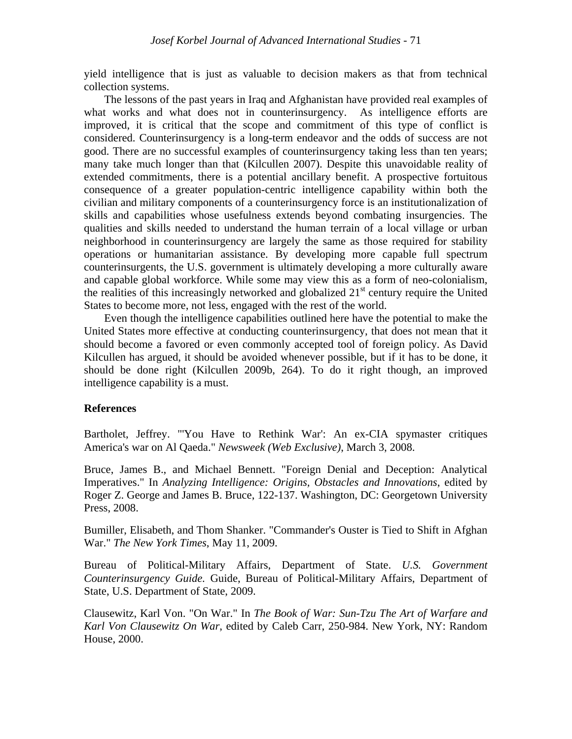yield intelligence that is just as valuable to decision makers as that from technical collection systems.

The lessons of the past years in Iraq and Afghanistan have provided real examples of what works and what does not in counterinsurgency. As intelligence efforts are improved, it is critical that the scope and commitment of this type of conflict is considered. Counterinsurgency is a long-term endeavor and the odds of success are not good. There are no successful examples of counterinsurgency taking less than ten years; many take much longer than that (Kilcullen 2007). Despite this unavoidable reality of extended commitments, there is a potential ancillary benefit. A prospective fortuitous consequence of a greater population-centric intelligence capability within both the civilian and military components of a counterinsurgency force is an institutionalization of skills and capabilities whose usefulness extends beyond combating insurgencies. The qualities and skills needed to understand the human terrain of a local village or urban neighborhood in counterinsurgency are largely the same as those required for stability operations or humanitarian assistance. By developing more capable full spectrum counterinsurgents, the U.S. government is ultimately developing a more culturally aware and capable global workforce. While some may view this as a form of neo-colonialism, the realities of this increasingly networked and globalized  $21<sup>st</sup>$  century require the United States to become more, not less, engaged with the rest of the world.

Even though the intelligence capabilities outlined here have the potential to make the United States more effective at conducting counterinsurgency, that does not mean that it should become a favored or even commonly accepted tool of foreign policy. As David Kilcullen has argued, it should be avoided whenever possible, but if it has to be done, it should be done right (Kilcullen 2009b, 264). To do it right though, an improved intelligence capability is a must.

## **References**

Bartholet, Jeffrey. "'You Have to Rethink War': An ex-CIA spymaster critiques America's war on Al Qaeda." *Newsweek (Web Exclusive)*, March 3, 2008.

Bruce, James B., and Michael Bennett. "Foreign Denial and Deception: Analytical Imperatives." In *Analyzing Intelligence: Origins, Obstacles and Innovations*, edited by Roger Z. George and James B. Bruce, 122-137. Washington, DC: Georgetown University Press, 2008.

Bumiller, Elisabeth, and Thom Shanker. "Commander's Ouster is Tied to Shift in Afghan War." *The New York Times*, May 11, 2009.

Bureau of Political-Military Affairs, Department of State. *U.S. Government Counterinsurgency Guide.* Guide, Bureau of Political-Military Affairs, Department of State, U.S. Department of State, 2009.

Clausewitz, Karl Von. "On War." In *The Book of War: Sun-Tzu The Art of Warfare and Karl Von Clausewitz On War*, edited by Caleb Carr, 250-984. New York, NY: Random House, 2000.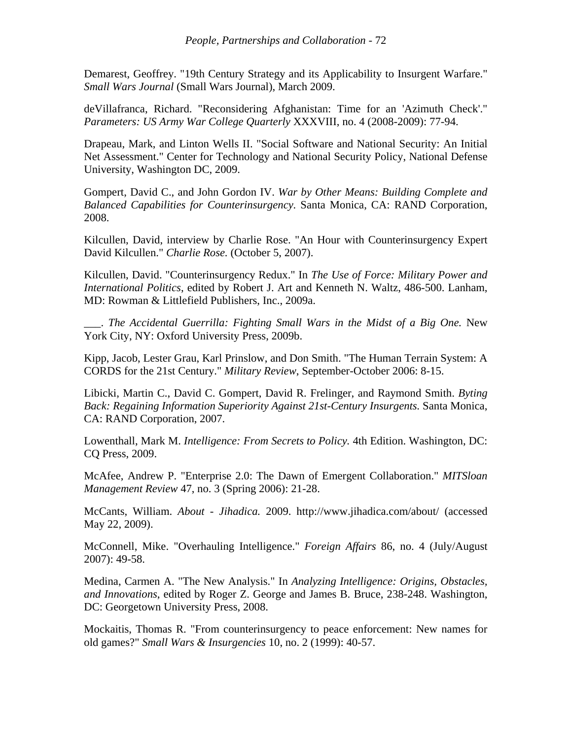Demarest, Geoffrey. "19th Century Strategy and its Applicability to Insurgent Warfare." *Small Wars Journal* (Small Wars Journal), March 2009.

deVillafranca, Richard. "Reconsidering Afghanistan: Time for an 'Azimuth Check'." *Parameters: US Army War College Quarterly* XXXVIII, no. 4 (2008-2009): 77-94.

Drapeau, Mark, and Linton Wells II. "Social Software and National Security: An Initial Net Assessment." Center for Technology and National Security Policy, National Defense University, Washington DC, 2009.

Gompert, David C., and John Gordon IV. *War by Other Means: Building Complete and Balanced Capabilities for Counterinsurgency.* Santa Monica, CA: RAND Corporation, 2008.

Kilcullen, David, interview by Charlie Rose. "An Hour with Counterinsurgency Expert David Kilcullen." *Charlie Rose.* (October 5, 2007).

Kilcullen, David. "Counterinsurgency Redux." In *The Use of Force: Military Power and International Politics*, edited by Robert J. Art and Kenneth N. Waltz, 486-500. Lanham, MD: Rowman & Littlefield Publishers, Inc., 2009a.

\_\_\_. *The Accidental Guerrilla: Fighting Small Wars in the Midst of a Big One.* New York City, NY: Oxford University Press, 2009b.

Kipp, Jacob, Lester Grau, Karl Prinslow, and Don Smith. "The Human Terrain System: A CORDS for the 21st Century." *Military Review*, September-October 2006: 8-15.

Libicki, Martin C., David C. Gompert, David R. Frelinger, and Raymond Smith. *Byting Back: Regaining Information Superiority Against 21st-Century Insurgents.* Santa Monica, CA: RAND Corporation, 2007.

Lowenthall, Mark M. *Intelligence: From Secrets to Policy.* 4th Edition. Washington, DC: CQ Press, 2009.

McAfee, Andrew P. "Enterprise 2.0: The Dawn of Emergent Collaboration." *MITSloan Management Review* 47, no. 3 (Spring 2006): 21-28.

McCants, William. *About - Jihadica.* 2009. http://www.jihadica.com/about/ (accessed May 22, 2009).

McConnell, Mike. "Overhauling Intelligence." *Foreign Affairs* 86, no. 4 (July/August 2007): 49-58.

Medina, Carmen A. "The New Analysis." In *Analyzing Intelligence: Origins, Obstacles, and Innovations*, edited by Roger Z. George and James B. Bruce, 238-248. Washington, DC: Georgetown University Press, 2008.

Mockaitis, Thomas R. "From counterinsurgency to peace enforcement: New names for old games?" *Small Wars & Insurgencies* 10, no. 2 (1999): 40-57.